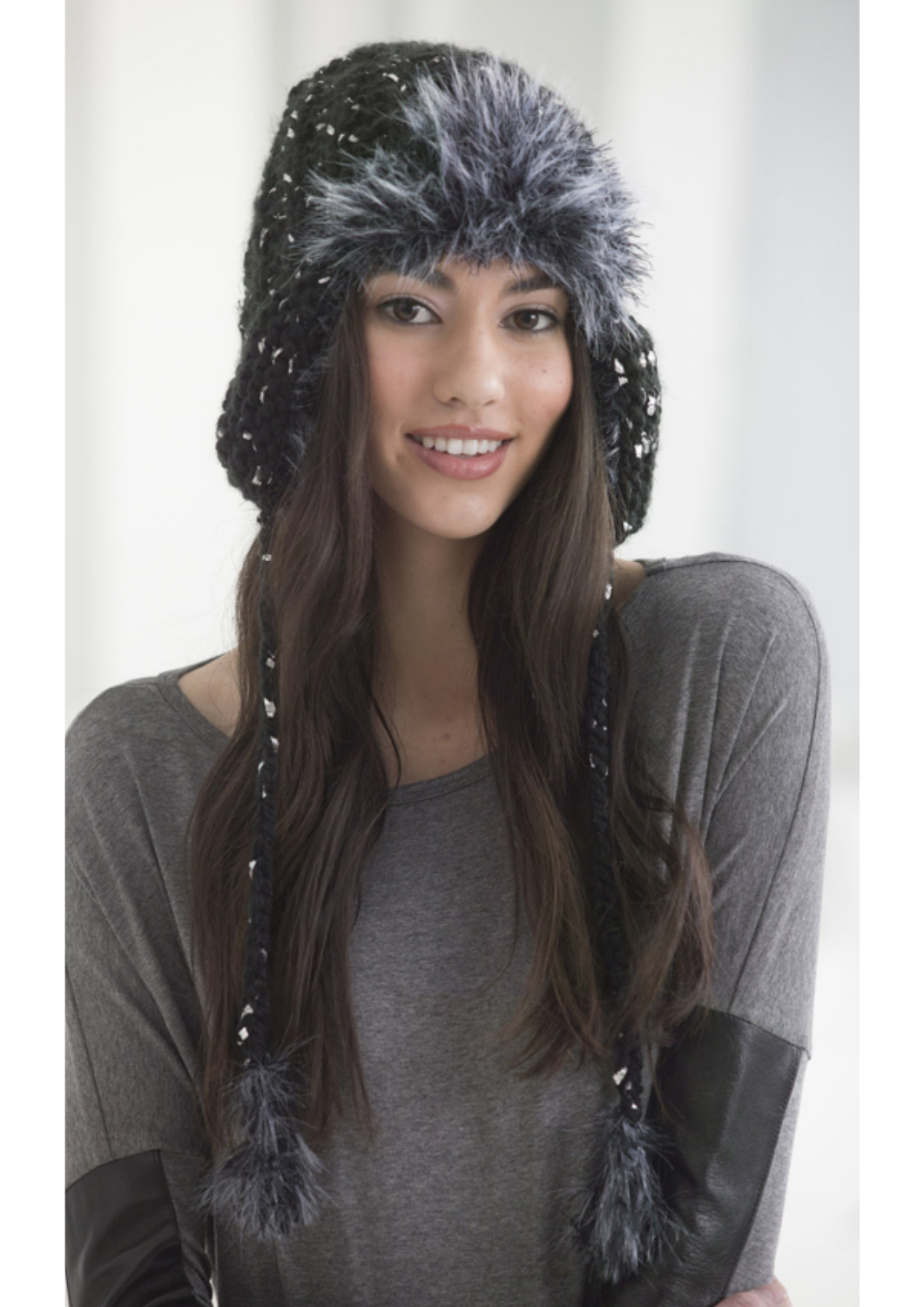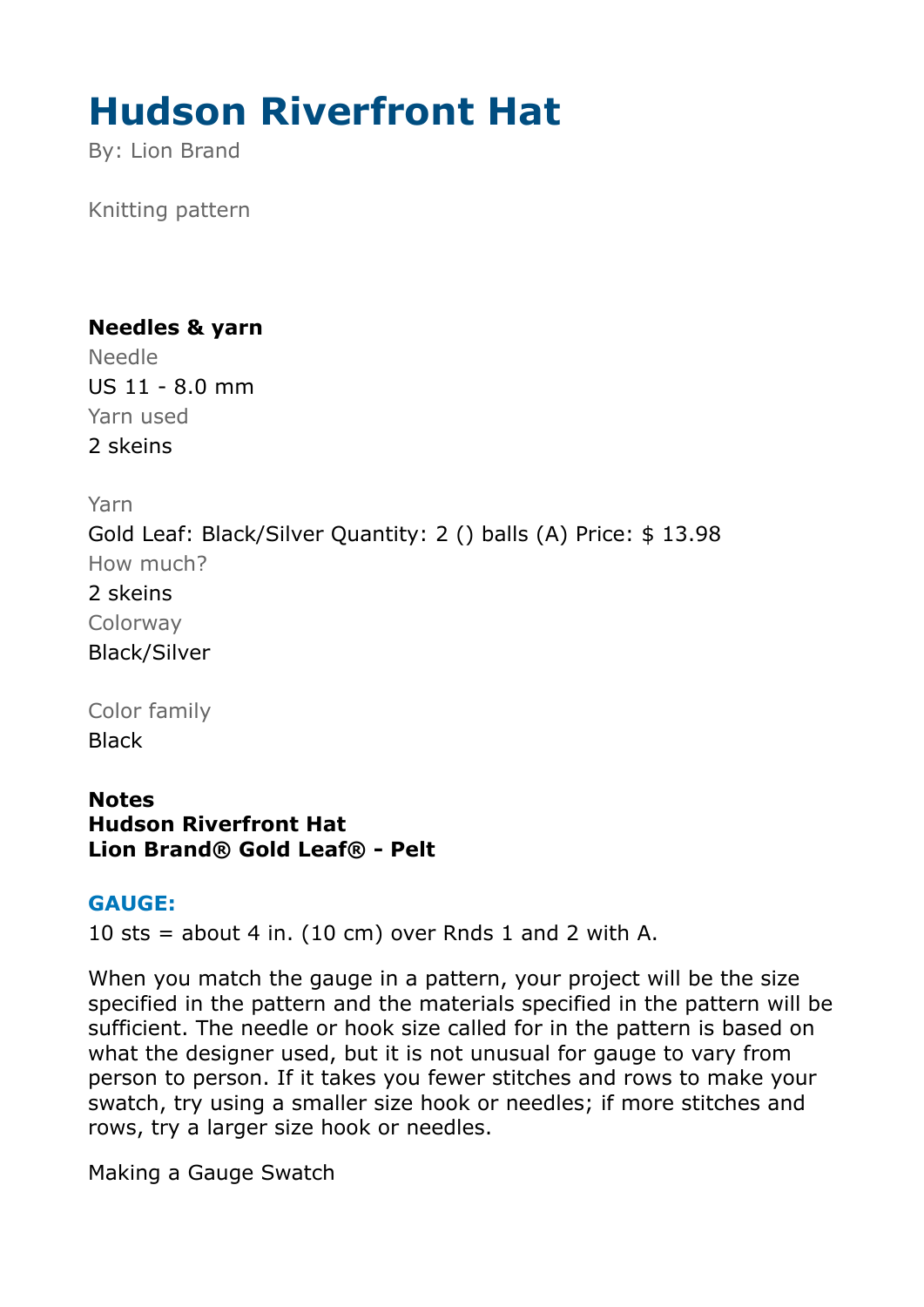# **Hudson Riverfront Hat**

By: Lion Brand

Knitting pattern

## **Needles & yarn**

Needle US 11 - 8.0 mm Yarn used 2 skeins

Yarn

Gold Leaf: Black/Silver Quantity: 2 () balls (A) Price: \$ 13.98 How much? 2 skeins Colorway Black/Silver

Color family **Black** 

**Notes Hudson Riverfront Hat Lion Brand® Gold Leaf® - Pelt** 

### **GAUGE:**

10 sts = about 4 in.  $(10 \text{ cm})$  over Rnds 1 and 2 with A.

When you match the gauge in a pattern, your project will be the size specified in the pattern and the materials specified in the pattern will be sufficient. The needle or hook size called for in the pattern is based on what the designer used, but it is not unusual for gauge to vary from person to person. If it takes you fewer stitches and rows to make your swatch, try using a smaller size hook or needles; if more stitches and rows, try a larger size hook or needles.

Making a Gauge Swatch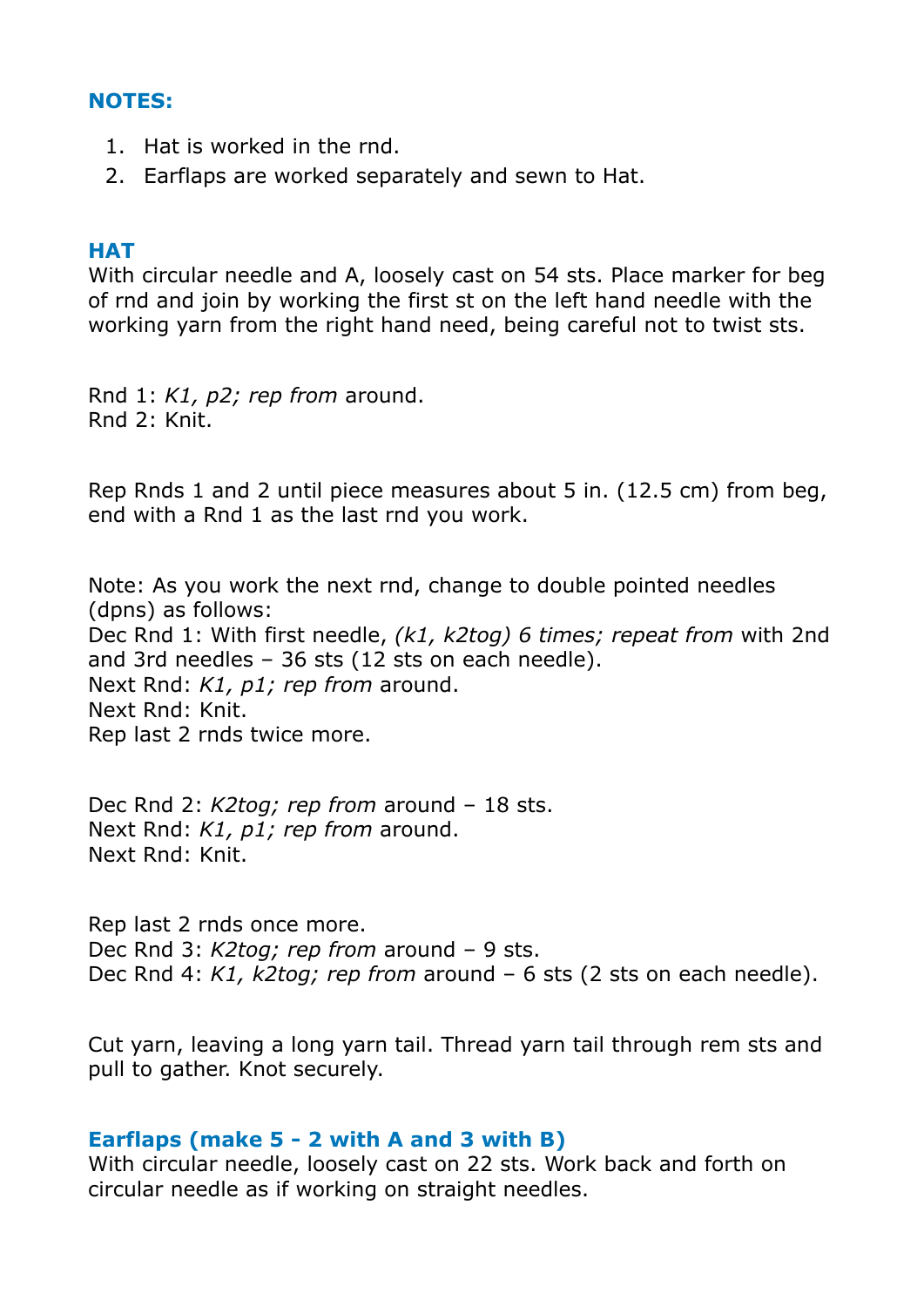#### **NOTES:**

- 1. Hat is worked in the rnd.
- 2. Earflaps are worked separately and sewn to Hat.

#### **HAT**

With circular needle and A, loosely cast on 54 sts. Place marker for beg of rnd and join by working the first st on the left hand needle with the working yarn from the right hand need, being careful not to twist sts.

Rnd 1: *K1, p2; rep from* around. Rnd 2: Knit.

Rep Rnds 1 and 2 until piece measures about 5 in. (12.5 cm) from beg, end with a Rnd 1 as the last rnd you work.

Note: As you work the next rnd, change to double pointed needles (dpns) as follows: Dec Rnd 1: With first needle, *(k1, k2tog) 6 times; repeat from* with 2nd and 3rd needles – 36 sts (12 sts on each needle). Next Rnd: *K1, p1; rep from* around. Next Rnd: Knit. Rep last 2 rnds twice more.

Dec Rnd 2: *K2tog; rep from* around – 18 sts. Next Rnd: *K1, p1; rep from* around. Next Rnd: Knit.

Rep last 2 rnds once more. Dec Rnd 3: *K2tog; rep from* around – 9 sts. Dec Rnd 4: *K1, k2tog; rep from* around – 6 sts (2 sts on each needle).

Cut yarn, leaving a long yarn tail. Thread yarn tail through rem sts and pull to gather. Knot securely.

#### **Earflaps (make 5 - 2 with A and 3 with B)**

With circular needle, loosely cast on 22 sts. Work back and forth on circular needle as if working on straight needles.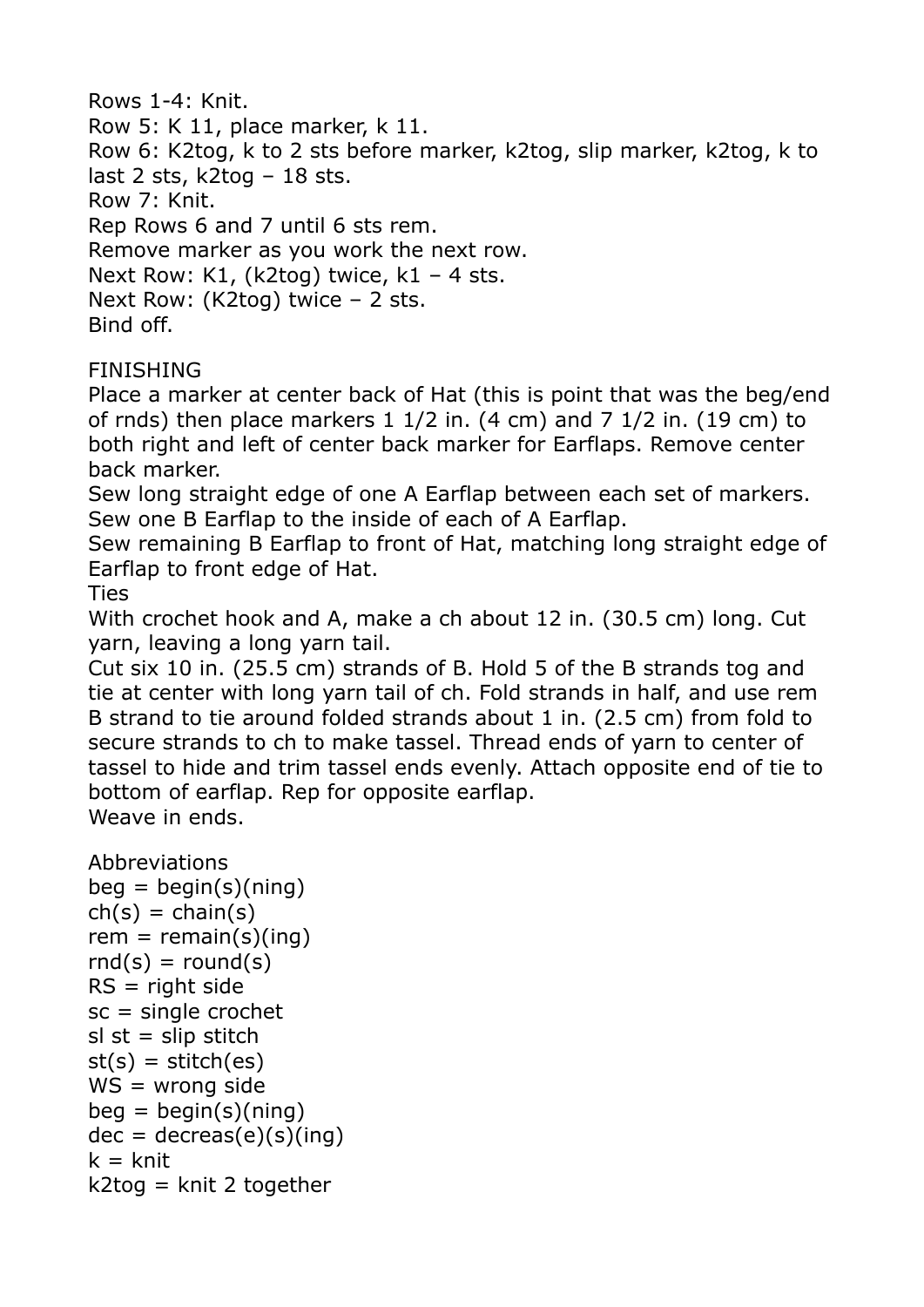Rows 1-4: Knit. Row 5: K 11, place marker, k 11. Row 6: K2tog, k to 2 sts before marker, k2tog, slip marker, k2tog, k to last 2 sts, k2tog – 18 sts. Row 7: Knit. Rep Rows 6 and 7 until 6 sts rem. Remove marker as you work the next row. Next Row: K1, (k2tog) twice,  $k1 - 4$  sts. Next Row: (K2tog) twice – 2 sts. Bind off.

## FINISHING

Place a marker at center back of Hat (this is point that was the beg/end of rnds) then place markers  $1 \frac{1}{2}$  in. (4 cm) and  $7 \frac{1}{2}$  in. (19 cm) to both right and left of center back marker for Earflaps. Remove center back marker.

Sew long straight edge of one A Earflap between each set of markers. Sew one B Earflap to the inside of each of A Earflap.

Sew remaining B Earflap to front of Hat, matching long straight edge of Earflap to front edge of Hat.

**Ties** 

With crochet hook and A, make a ch about 12 in. (30.5 cm) long. Cut yarn, leaving a long yarn tail.

Cut six 10 in. (25.5 cm) strands of B. Hold 5 of the B strands tog and tie at center with long yarn tail of ch. Fold strands in half, and use rem B strand to tie around folded strands about 1 in. (2.5 cm) from fold to secure strands to ch to make tassel. Thread ends of yarn to center of tassel to hide and trim tassel ends evenly. Attach opposite end of tie to bottom of earflap. Rep for opposite earflap. Weave in ends.

```
Abbreviations 
beq = beqin(s)(ning)ch(s) = chain(s)rem = remain(s)(ing)rnd(s) = round(s)RS = right sidesc = single crochet 
sl st = slip stitch
st(s) = stitch(es)WS = wrong side 
beq = beqin(s)(ning)dec = decrease(e)(s)(ing)k = knit
k2tog = knit 2 together
```